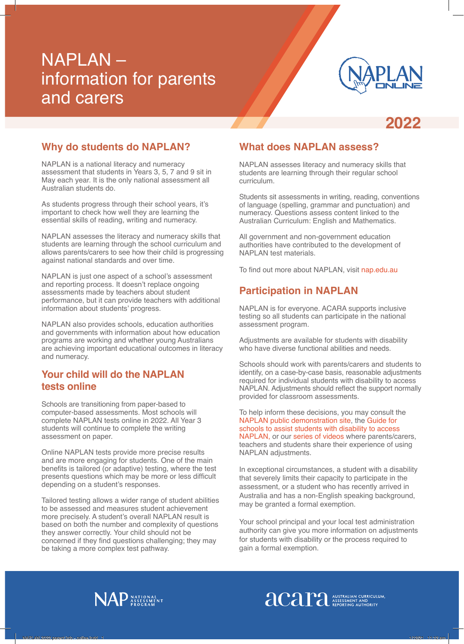# NAPLAN – information for parents and carers



**2022**

## **Why do students do NAPLAN?**

NAPLAN is a national literacy and numeracy assessment that students in Years 3, 5, 7 and 9 sit in May each year. It is the only national assessment all Australian students do.

As students progress through their school years, it's important to check how well they are learning the essential skills of reading, writing and numeracy.

NAPLAN assesses the literacy and numeracy skills that students are learning through the school curriculum and allows parents/carers to see how their child is progressing against national standards and over time.

NAPLAN is just one aspect of a school's assessment and reporting process. It doesn't replace ongoing assessments made by teachers about student performance, but it can provide teachers with additional information about students' progress.

NAPLAN also provides schools, education authorities and governments with information about how education programs are working and whether young Australians are achieving important educational outcomes in literacy and numeracy.

#### **Your child will do the NAPLAN tests online**

Schools are transitioning from paper-based to computer-based assessments. Most schools will complete NAPLAN tests online in 2022. All Year 3 students will continue to complete the writing assessment on paper.

Online NAPLAN tests provide more precise results and are more engaging for students. One of the main benefits is tailored (or adaptive) testing, where the test presents questions which may be more or less difficult depending on a student's responses.

Tailored testing allows a wider range of student abilities to be assessed and measures student achievement more precisely. A student's overall NAPLAN result is based on both the number and complexity of questions they answer correctly. Your child should not be concerned if they find questions challenging; they may be taking a more complex test pathway.

## **What does NAPLAN assess?**

NAPLAN assesses literacy and numeracy skills that students are learning through their regular school curriculum.

Students sit assessments in writing, reading, conventions of language (spelling, grammar and punctuation) and numeracy. Questions assess content linked to the Australian Curriculum: English and Mathematics.

All government and non-government education authorities have contributed to the development of NAPLAN test materials.

To find out more about NAPLAN, visit nap.edu.au

## **Participation in NAPLAN**

NAPLAN is for everyone. ACARA supports inclusive testing so all students can participate in the national assessment program.

Adjustments are available for students with disability who have diverse functional abilities and needs.

Schools should work with parents/carers and students to identify, on a case-by-case basis, reasonable adjustments required for individual students with disability to access NAPLAN. Adjustments should reflect the support normally provided for classroom assessments.

To help inform these decisions, you may consult the NAPLAN public demonstration site, the Guide for schools to assist students with disability to access NAPLAN, or our series of videos where parents/carers, teachers and students share their experience of using NAPLAN adjustments.

In exceptional circumstances, a student with a disability that severely limits their capacity to participate in the assessment, or a student who has recently arrived in Australia and has a non-English speaking background, may be granted a formal exemption.

Your school principal and your local test administration authority can give you more information on adjustments for students with disability or the process required to gain a formal exemption.

**anstralian CURRICULUM** 



NAPLAN 2022 parent info - online.indd 1 1/12/21 11:12 am